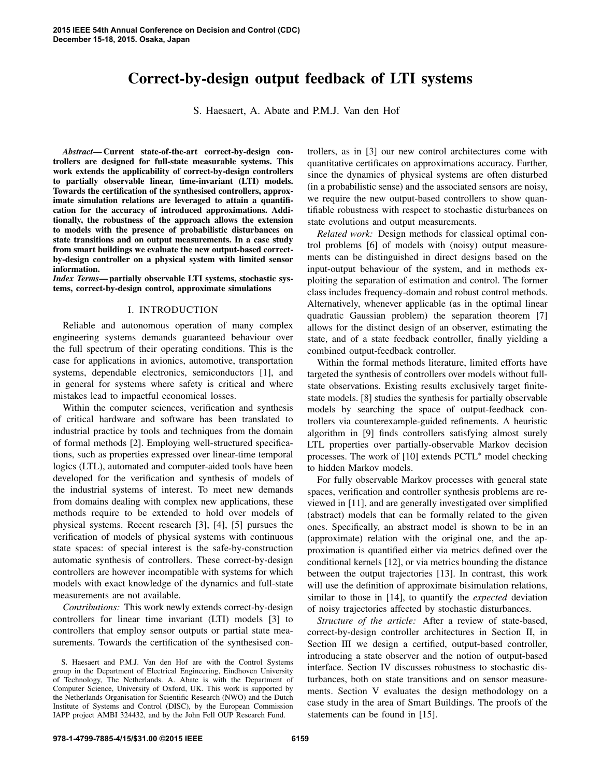# Correct-by-design output feedback of LTI systems

S. Haesaert, A. Abate and P.M.J. Van den Hof

*Abstract*— Current state-of-the-art correct-by-design controllers are designed for full-state measurable systems. This work extends the applicability of correct-by-design controllers to partially observable linear, time-invariant (LTI) models. Towards the certification of the synthesised controllers, approximate simulation relations are leveraged to attain a quantification for the accuracy of introduced approximations. Additionally, the robustness of the approach allows the extension to models with the presence of probabilistic disturbances on state transitions and on output measurements. In a case study from smart buildings we evaluate the new output-based correctby-design controller on a physical system with limited sensor information.

*Index Terms*— partially observable LTI systems, stochastic systems, correct-by-design control, approximate simulations

## I. INTRODUCTION

Reliable and autonomous operation of many complex engineering systems demands guaranteed behaviour over the full spectrum of their operating conditions. This is the case for applications in avionics, automotive, transportation systems, dependable electronics, semiconductors [1], and in general for systems where safety is critical and where mistakes lead to impactful economical losses.

Within the computer sciences, verification and synthesis of critical hardware and software has been translated to industrial practice by tools and techniques from the domain of formal methods [2]. Employing well-structured specifications, such as properties expressed over linear-time temporal logics (LTL), automated and computer-aided tools have been developed for the verification and synthesis of models of the industrial systems of interest. To meet new demands from domains dealing with complex new applications, these methods require to be extended to hold over models of physical systems. Recent research [3], [4], [5] pursues the verification of models of physical systems with continuous state spaces: of special interest is the safe-by-construction automatic synthesis of controllers. These correct-by-design controllers are however incompatible with systems for which models with exact knowledge of the dynamics and full-state measurements are not available.

*Contributions:* This work newly extends correct-by-design controllers for linear time invariant (LTI) models [3] to controllers that employ sensor outputs or partial state measurements. Towards the certification of the synthesised controllers, as in [3] our new control architectures come with quantitative certificates on approximations accuracy. Further, since the dynamics of physical systems are often disturbed (in a probabilistic sense) and the associated sensors are noisy, we require the new output-based controllers to show quantifiable robustness with respect to stochastic disturbances on state evolutions and output measurements.

*Related work:* Design methods for classical optimal control problems [6] of models with (noisy) output measurements can be distinguished in direct designs based on the input-output behaviour of the system, and in methods exploiting the separation of estimation and control. The former class includes frequency-domain and robust control methods. Alternatively, whenever applicable (as in the optimal linear quadratic Gaussian problem) the separation theorem [7] allows for the distinct design of an observer, estimating the state, and of a state feedback controller, finally yielding a combined output-feedback controller.

Within the formal methods literature, limited efforts have targeted the synthesis of controllers over models without fullstate observations. Existing results exclusively target finitestate models. [8] studies the synthesis for partially observable models by searching the space of output-feedback controllers via counterexample-guided refinements. A heuristic algorithm in [9] finds controllers satisfying almost surely LTL properties over partially-observable Markov decision processes. The work of [10] extends PCTL<sup>∗</sup> model checking to hidden Markov models.

For fully observable Markov processes with general state spaces, verification and controller synthesis problems are reviewed in [11], and are generally investigated over simplified (abstract) models that can be formally related to the given ones. Specifically, an abstract model is shown to be in an (approximate) relation with the original one, and the approximation is quantified either via metrics defined over the conditional kernels [12], or via metrics bounding the distance between the output trajectories [13]. In contrast, this work will use the definition of approximate bisimulation relations, similar to those in [14], to quantify the *expected* deviation of noisy trajectories affected by stochastic disturbances.

*Structure of the article:* After a review of state-based, correct-by-design controller architectures in Section II, in Section III we design a certified, output-based controller, introducing a state observer and the notion of output-based interface. Section IV discusses robustness to stochastic disturbances, both on state transitions and on sensor measurements. Section V evaluates the design methodology on a case study in the area of Smart Buildings. The proofs of the statements can be found in [15].

S. Haesaert and P.M.J. Van den Hof are with the Control Systems group in the Department of Electrical Engineering, Eindhoven University of Technology, The Netherlands. A. Abate is with the Department of Computer Science, University of Oxford, UK. This work is supported by the Netherlands Organisation for Scientific Research (NWO) and the Dutch Institute of Systems and Control (DISC), by the European Commission IAPP project AMBI 324432, and by the John Fell OUP Research Fund.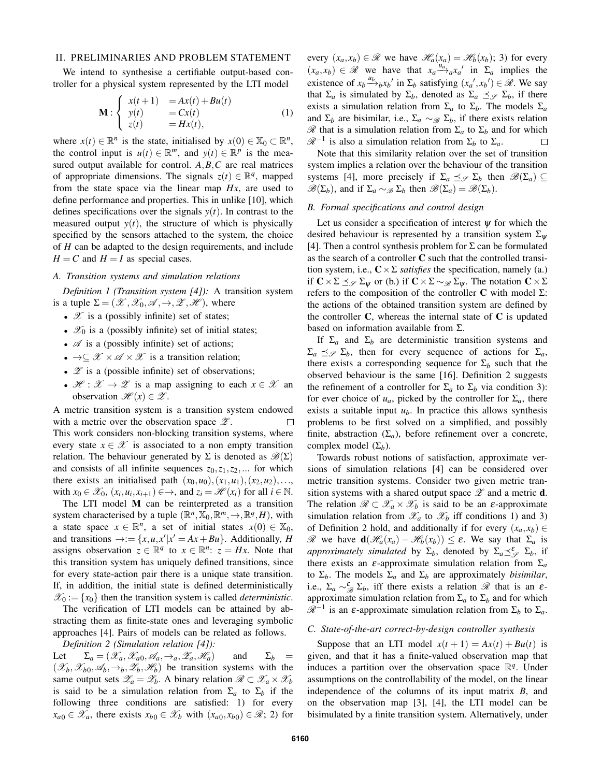# II. PRELIMINARIES AND PROBLEM STATEMENT

We intend to synthesise a certifiable output-based controller for a physical system represented by the LTI model

$$
\mathbf{M}: \begin{cases} x(t+1) &= Ax(t) + Bu(t) \\ y(t) &= Cx(t) \\ z(t) &= Hx(t), \end{cases} \tag{1}
$$

where  $x(t) \in \mathbb{R}^n$  is the state, initialised by  $x(0) \in \mathbb{X}_0 \subset \mathbb{R}^n$ , the control input is  $u(t) \in \mathbb{R}^m$ , and  $y(t) \in \mathbb{R}^p$  is the measured output available for control. *A*,*B*,*C* are real matrices of appropriate dimensions. The signals  $z(t) \in \mathbb{R}^q$ , mapped from the state space via the linear map *Hx*, are used to define performance and properties. This in unlike [10], which defines specifications over the signals  $y(t)$ . In contrast to the measured output  $y(t)$ , the structure of which is physically specified by the sensors attached to the system, the choice of *H* can be adapted to the design requirements, and include  $H = C$  and  $H = I$  as special cases.

## *A. Transition systems and simulation relations*

*Definition 1 (Transition system [4]):* A transition system is a tuple  $\Sigma = (\mathcal{X}, \mathcal{X}_0, \mathcal{A}, \rightarrow, \mathcal{Z}, \mathcal{H})$ , where

- $\mathscr X$  is a (possibly infinite) set of states;
- $\mathscr{X}_0$  is a (possibly infinite) set of initial states;
- $\mathscr A$  is a (possibly infinite) set of actions;
- $\rightarrow \subseteq \mathcal{X} \times \mathcal{A} \times \mathcal{X}$  is a transition relation;
- $\mathscr Z$  is a (possible infinite) set of observations;
- $\mathscr{H} : \mathscr{X} \to \mathscr{Z}$  is a map assigning to each  $x \in \mathscr{X}$  and observation  $\mathscr{H}(x) \in \mathscr{Z}$ .

A metric transition system is a transition system endowed with a metric over the observation space  $\mathscr{Z}$ .  $\Box$ This work considers non-blocking transition systems, where every state  $x \in \mathcal{X}$  is associated to a non empty transition relation. The behaviour generated by  $\Sigma$  is denoted as  $\mathscr{B}(\Sigma)$ and consists of all infinite sequences  $z_0, z_1, z_2, \dots$  for which there exists an initialised path  $(x_0, u_0), (x_1, u_1), (x_2, u_2), \ldots$ with  $x_0 \in \mathcal{X}_0$ ,  $(x_i, u_i, x_{i+1}) \in \rightarrow$ , and  $z_i = \mathcal{H}(x_i)$  for all  $i \in \mathbb{N}$ .

The LTI model M can be reinterpreted as a transition system characterised by a tuple  $(\mathbb{R}^n, \mathbb{X}_0, \mathbb{R}^m, \rightarrow, \mathbb{R}^q, H)$ , with a state space  $x \in \mathbb{R}^n$ , a set of initial states  $x(0) \in \mathbb{X}_0$ , and transitions  $\rightarrow := \{x, u, x' | x' = Ax + Bu\}$ . Additionally, *H* assigns observation  $z \in \mathbb{R}^q$  to  $x \in \mathbb{R}^n$ :  $z = Hx$ . Note that this transition system has uniquely defined transitions, since for every state-action pair there is a unique state transition. If, in addition, the initial state is defined deterministically  $\mathscr{X}_0 := \{x_0\}$  then the transition system is called *deterministic*.

The verification of LTI models can be attained by abstracting them as finite-state ones and leveraging symbolic approaches [4]. Pairs of models can be related as follows.

*Definition 2 (Simulation relation [4]):*

Let  $\Sigma_a = (\mathscr{X}_a, \mathscr{X}_{a_0}, \mathscr{A}_a, \rightarrow_a, \mathscr{Z}_a, \mathscr{H}_a)$  and  $\Sigma_b =$  $(\mathscr{X}_b, \mathscr{X}_{b_0}, \mathscr{A}_b, \rightarrow_b, \mathscr{Z}_b, \mathscr{H}_b)$  be transition systems with the same output sets  $\mathscr{Z}_a = \mathscr{Z}_b$ . A binary relation  $\mathscr{R} \subset \mathscr{X}_a \times \mathscr{X}_b$ is said to be a simulation relation from  $\Sigma_a$  to  $\Sigma_b$  if the following three conditions are satisfied: 1) for every  $x_{a0} \in \mathscr{X}_a$ , there exists  $x_{b0} \in \mathscr{X}_b$  with  $(x_{a0}, x_{b0}) \in \mathscr{R}$ ; 2) for

every  $(x_a, x_b) \in \mathcal{R}$  we have  $\mathcal{H}_a(x_a) = \mathcal{H}_b(x_b)$ ; 3) for every  $(x_a, x_b) \in \mathcal{R}$  we have that  $x_a \xrightarrow{u_a} x_a'$  in  $\Sigma_a$  implies the existence of  $x_b \xrightarrow{u_b} x_b$ <sup>*'*</sup> in  $\Sigma_b$  satisfying  $(x_a', x_b') \in \mathcal{R}$ . We say that  $\Sigma_a$  is simulated by  $\Sigma_b$ , denoted as  $\Sigma_a \preceq_{\mathcal{S}} \Sigma_b$ , if there exists a simulation relation from  $\Sigma_a$  to  $\Sigma_b$ . The models  $\Sigma_a$ and  $\Sigma_b$  are bisimilar, i.e.,  $\Sigma_a \sim_{\mathscr{B}} \Sigma_b$ , if there exists relation R that is a simulation relation from Σ*<sup>a</sup>* to Σ*<sup>b</sup>* and for which  $\mathcal{R}^{-1}$  is also a simulation relation from  $\Sigma_b$  to  $\Sigma_a$ .  $\Box$ 

Note that this similarity relation over the set of transition system implies a relation over the behaviour of the transition systems [4], more precisely if  $\Sigma_a \preceq_{\mathcal{S}} \Sigma_b$  then  $\mathscr{B}(\Sigma_a) \subseteq$  $\mathscr{B}(\Sigma_b)$ , and if  $\Sigma_a \sim_{\mathscr{B}} \Sigma_b$  then  $\mathscr{B}(\Sigma_a) = \mathscr{B}(\Sigma_b)$ .

#### *B. Formal specifications and control design*

Let us consider a specification of interest  $\psi$  for which the desired behaviour is represented by a transition system  $\Sigma_{\psi}$ [4]. Then a control synthesis problem for  $\Sigma$  can be formulated as the search of a controller C such that the controlled transition system, i.e.,  $C \times \Sigma$  *satisfies* the specification, namely (a.) if  $C \times \Sigma \preceq_{\mathscr{S}} \Sigma_{\mathscr{W}}$  or (b.) if  $C \times \Sigma \sim_{\mathscr{B}} \Sigma_{\mathscr{W}}$ . The notation  $C \times \Sigma$ refers to the composition of the controller C with model Σ: the actions of the obtained transition system are defined by the controller  $C$ , whereas the internal state of  $C$  is updated based on information available from Σ.

If  $\Sigma_a$  and  $\Sigma_b$  are deterministic transition systems and  $\Sigma_a \preceq_{\mathcal{S}} \Sigma_b$ , then for every sequence of actions for  $\Sigma_a$ , there exists a corresponding sequence for  $\Sigma_b$  such that the observed behaviour is the same [16]. Definition 2 suggests the refinement of a controller for  $\Sigma_a$  to  $\Sigma_b$  via condition 3): for ever choice of  $u_a$ , picked by the controller for  $\Sigma_a$ , there exists a suitable input  $u<sub>b</sub>$ . In practice this allows synthesis problems to be first solved on a simplified, and possibly finite, abstraction  $(\Sigma_a)$ , before refinement over a concrete, complex model  $(\Sigma_h)$ .

Towards robust notions of satisfaction, approximate versions of simulation relations [4] can be considered over metric transition systems. Consider two given metric transition systems with a shared output space  $\mathscr Z$  and a metric **d**. The relation  $\mathcal{R} \subset \mathcal{X}_a \times \mathcal{X}_b$  is said to be an  $\varepsilon$ -approximate simulation relation from  $\mathcal{X}_a$  to  $\mathcal{X}_b$  iff conditions 1) and 3) of Definition 2 hold, and additionally if for every  $(x_a, x_b) \in$ R we have  $\mathbf{d}(\mathcal{H}_a(x_a) - \mathcal{H}_b(x_b)) \leq \varepsilon$ . We say that  $\Sigma_a$  is *approximately simulated* by  $\Sigma_b$ , denoted by  $\Sigma_a \preceq^{\mathcal{E}}_{\mathcal{S}} \Sigma_b$ , if there exists an  $\varepsilon$ -approximate simulation relation from  $\Sigma_a$ to  $\Sigma_b$ . The models  $\Sigma_a$  and  $\Sigma_b$  are approximately *bisimilar*, i.e.,  $\Sigma_a \sim_{\mathscr{B}}^{\varepsilon} \Sigma_b$ , iff there exists a relation  $\mathscr{R}$  that is an  $\varepsilon$ approximate simulation relation from  $\Sigma_a$  to  $\Sigma_b$  and for which  $\mathcal{R}^{-1}$  is an ε-approximate simulation relation from Σ<sub>*b*</sub> to Σ<sub>*a*</sub>.

## *C. State-of-the-art correct-by-design controller synthesis*

Suppose that an LTI model  $x(t + 1) = Ax(t) + Bu(t)$  is given, and that it has a finite-valued observation map that induces a partition over the observation space  $\mathbb{R}^q$ . Under assumptions on the controllability of the model, on the linear independence of the columns of its input matrix *B*, and on the observation map [3], [4], the LTI model can be bisimulated by a finite transition system. Alternatively, under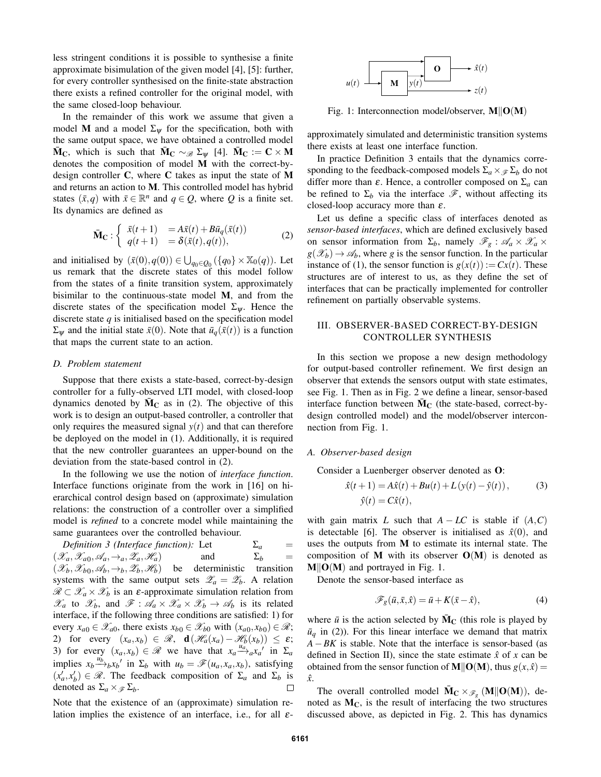less stringent conditions it is possible to synthesise a finite approximate bisimulation of the given model [4], [5]: further, for every controller synthesised on the finite-state abstraction there exists a refined controller for the original model, with the same closed-loop behaviour.

In the remainder of this work we assume that given a model M and a model  $\Sigma_{\psi}$  for the specification, both with the same output space, we have obtained a controlled model  $\bar{M}_{C}$ , which is such that  $\bar{M}_{C} \sim_{\mathscr{B}} \Sigma_{\Psi}$  [4].  $\bar{M}_{C} := C \times M$ denotes the composition of model M with the correct-bydesign controller C, where C takes as input the state of M and returns an action to M. This controlled model has hybrid states  $(\bar{x}, q)$  with  $\bar{x} \in \mathbb{R}^n$  and  $q \in Q$ , where *Q* is a finite set. Its dynamics are defined as

$$
\bar{\mathbf{M}}_{\mathbf{C}} : \begin{cases} \bar{x}(t+1) = A\bar{x}(t) + B\bar{u}_q(\bar{x}(t)) \\ q(t+1) = \delta(\bar{x}(t), q(t)), \end{cases}
$$
 (2)

and initialised by  $(\bar{x}(0), q(0)) \in \bigcup_{q_0 \in Q_0} (\{q_0\} \times \mathbb{X}_0(q))$ . Let us remark that the discrete states of this model follow from the states of a finite transition system, approximately bisimilar to the continuous-state model M, and from the discrete states of the specification model  $\Sigma_{\psi}$ . Hence the discrete state *q* is initialised based on the specification model  $\Sigma_{\psi}$  and the initial state  $\bar{x}(0)$ . Note that  $\bar{u}_q(\bar{x}(t))$  is a function that maps the current state to an action.

#### *D. Problem statement*

Suppose that there exists a state-based, correct-by-design controller for a fully-observed LTI model, with closed-loop dynamics denoted by  $\overline{M}_C$  as in (2). The objective of this work is to design an output-based controller, a controller that only requires the measured signal  $y(t)$  and that can therefore be deployed on the model in (1). Additionally, it is required that the new controller guarantees an upper-bound on the deviation from the state-based control in (2).

In the following we use the notion of *interface function*. Interface functions originate from the work in [16] on hierarchical control design based on (approximate) simulation relations: the construction of a controller over a simplified model is *refined* to a concrete model while maintaining the same guarantees over the controlled behaviour.

*Definition 3 (Interface function):* Let  $\Sigma_a$  =  $(\mathscr{X}_a, \mathscr{X}_{a_0}, \mathscr{A}_a, \rightarrow_a, \mathscr{Z}_a, \mathscr{H}_a)$  and  $\Sigma_b$  =  $(\mathscr{X}_b, \mathscr{X}_{b0}, \mathscr{A}_b, \rightarrow_b, \mathscr{Z}_b, \mathscr{H}_b)$ be deterministic transition systems with the same output sets  $\mathscr{L}_a = \mathscr{L}_b$ . A relation  $\mathscr{R} \subset \mathscr{X}_a \times \mathscr{X}_b$  is an  $\varepsilon$ -approximate simulation relation from  $\mathscr{X}_a$  to  $\mathscr{X}_b$ , and  $\mathscr{F} : \mathscr{A}_a \times \mathscr{X}_a \times \mathscr{X}_b \to \mathscr{A}_b$  is its related interface, if the following three conditions are satisfied: 1) for every  $x_{a0} \in \mathscr{X}_{a0}$ , there exists  $x_{b0} \in \mathscr{X}_{b0}$  with  $(x_{a0}, x_{b0}) \in \mathscr{R}$ ; 2) for every  $(x_a, x_b) \in \mathcal{R}$ ,  $\mathbf{d}(\mathcal{H}_a(x_a) - \mathcal{H}_b(x_b)) \leq \varepsilon$ ; 3) for every  $(x_a, x_b) \in \mathcal{R}$  we have that  $x_a \stackrel{u_a}{\longrightarrow} x_a$  in  $\Sigma_a$ implies  $x_b \xrightarrow{u_b}{}_{b}x_b$ <sup>*i*</sup> in  $\Sigma_b$  with  $u_b = \mathscr{F}(u_a, x_a, x_b)$ , satisfying  $(x'_a, x'_b) \in \mathcal{R}$ . The feedback composition of  $\Sigma_a$  and  $\Sigma_b$  is denoted as  $\Sigma_a \times \mathscr{F} \Sigma_b$ .  $\Box$ 

Note that the existence of an (approximate) simulation relation implies the existence of an interface, i.e., for all  $\varepsilon$ -



Fig. 1: Interconnection model/observer,  $M||O(M)$ 

approximately simulated and deterministic transition systems there exists at least one interface function.

In practice Definition 3 entails that the dynamics corresponding to the feedback-composed models  $\Sigma_a \times \mathcal{F} \Sigma_b$  do not differ more than  $\varepsilon$ . Hence, a controller composed on  $\Sigma_a$  can be refined to  $\Sigma_b$  via the interface  $\mathscr{F}$ , without affecting its closed-loop accuracy more than  $\varepsilon$ .

Let us define a specific class of interfaces denoted as *sensor-based interfaces*, which are defined exclusively based on sensor information from  $\Sigma_b$ , namely  $\mathscr{F}_g$  :  $\mathscr{A}_a \times \mathscr{X}_a$  ×  $g(\mathscr{X}_b) \to \mathscr{A}_b$ , where *g* is the sensor function. In the particular instance of (1), the sensor function is  $g(x(t)) := Cx(t)$ . These structures are of interest to us, as they define the set of interfaces that can be practically implemented for controller refinement on partially observable systems.

# III. OBSERVER-BASED CORRECT-BY-DESIGN CONTROLLER SYNTHESIS

In this section we propose a new design methodology for output-based controller refinement. We first design an observer that extends the sensors output with state estimates, see Fig. 1. Then as in Fig. 2 we define a linear, sensor-based interface function between  $\bar{M}_{\Gamma}$  (the state-based, correct-bydesign controlled model) and the model/observer interconnection from Fig. 1.

#### *A. Observer-based design*

Consider a Luenberger observer denoted as O:

$$
\hat{x}(t+1) = A\hat{x}(t) + Bu(t) + L(y(t) - \hat{y}(t)),
$$
\n(3)  
\n
$$
\hat{y}(t) = C\hat{x}(t),
$$

with gain matrix *L* such that  $A - LC$  is stable if  $(A, C)$ is detectable [6]. The observer is initialised as  $\hat{x}(0)$ , and uses the outputs from M to estimate its internal state. The composition of M with its observer  $O(M)$  is denoted as  $M||O(M)$  and portrayed in Fig. 1.

Denote the sensor-based interface as

$$
\mathscr{F}_{g}(\bar{u}, \bar{x}, \hat{x}) = \bar{u} + K(\bar{x} - \hat{x}), \tag{4}
$$

where  $\bar{u}$  is the action selected by  $\bar{M}_C$  (this role is played by  $\bar{u}_q$  in (2)). For this linear interface we demand that matrix *A*−*BK* is stable. Note that the interface is sensor-based (as defined in Section II), since the state estimate  $\hat{x}$  of x can be obtained from the sensor function of  $M||O(M)$ , thus  $g(x, \hat{x}) =$ *x*ˆ.

The overall controlled model  $\bar{M}_{C} \times_{\mathscr{F}_{g}} (M||O(M))$ , denoted as  $M<sub>C</sub>$ , is the result of interfacing the two structures discussed above, as depicted in Fig. 2. This has dynamics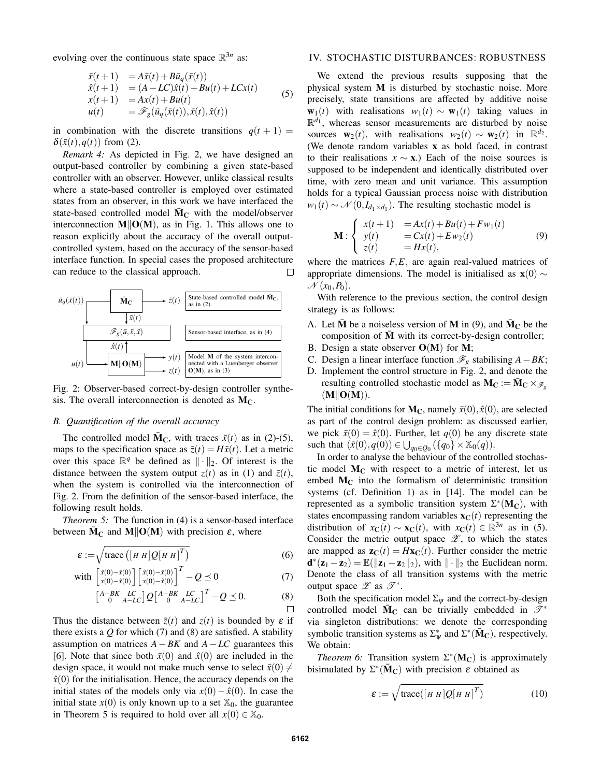evolving over the continuous state space  $\mathbb{R}^{3n}$  as:

$$
\begin{array}{rcl}\n\bar{x}(t+1) &=& A\bar{x}(t) + B\bar{u}_q(\bar{x}(t)) \\
\hat{x}(t+1) &=& (A - LC)\hat{x}(t) + Bu(t) + LCx(t) \\
x(t+1) &=& Ax(t) + Bu(t) \\
u(t) &=& \mathscr{F}_{g}(\bar{u}_q(\bar{x}(t)), \bar{x}(t), \hat{x}(t))\n\end{array} \tag{5}
$$

in combination with the discrete transitions  $q(t + 1) =$  $\delta(\bar{x}(t), q(t))$  from (2).

*Remark 4:* As depicted in Fig. 2, we have designed an output-based controller by combining a given state-based controller with an observer. However, unlike classical results where a state-based controller is employed over estimated states from an observer, in this work we have interfaced the state-based controlled model  $\overline{M}_{\rm C}$  with the model/observer interconnection  $M||O(M)$ , as in Fig. 1. This allows one to reason explicitly about the accuracy of the overall outputcontrolled system, based on the accuracy of the sensor-based interface function. In special cases the proposed architecture can reduce to the classical approach.  $\Box$ 



Fig. 2: Observer-based correct-by-design controller synthesis. The overall interconnection is denoted as  $M<sub>C</sub>$ .

# *B. Quantification of the overall accuracy*

The controlled model  $\bar{M}_C$ , with traces  $\bar{x}(t)$  as in (2)-(5), maps to the specification space as  $\bar{z}(t) = H\bar{x}(t)$ . Let a metric over this space  $\mathbb{R}^q$  be defined as  $\|\cdot\|_2$ . Of interest is the distance between the system output  $z(t)$  as in (1) and  $\bar{z}(t)$ , when the system is controlled via the interconnection of Fig. 2. From the definition of the sensor-based interface, the following result holds.

*Theorem 5:* The function in (4) is a sensor-based interface between  $\bar{M}_C$  and  $M||O(M)$  with precision  $\varepsilon$ , where

$$
\varepsilon := \sqrt{\text{trace}\left(\left[H\ H\right]Q\left[H\ H\right]^{T}\right)}
$$
(6)

with 
$$
\begin{bmatrix} \hat{x}(0) - \bar{x}(0) \\ x(0) - \hat{x}(0) \end{bmatrix} \begin{bmatrix} \hat{x}(0) - \bar{x}(0) \\ x(0) - \hat{x}(0) \end{bmatrix}^T - Q \preceq 0
$$
 (7)

$$
\begin{bmatrix} A-BK & LC \ 0 & A-LC \end{bmatrix} Q \begin{bmatrix} A-BK & LC \ 0 & A-LC \end{bmatrix}^T - Q \preceq 0.
$$
 (8)

Thus the distance between  $\bar{z}(t)$  and  $z(t)$  is bounded by  $\varepsilon$  if there exists a  $Q$  for which  $(7)$  and  $(8)$  are satisfied. A stability assumption on matrices *A*−*BK* and *A*−*LC* guarantees this [6]. Note that since both  $\bar{x}(0)$  and  $\hat{x}(0)$  are included in the design space, it would not make much sense to select  $\bar{x}(0) \neq$  $\hat{x}(0)$  for the initialisation. Hence, the accuracy depends on the initial states of the models only via  $x(0) - \hat{x}(0)$ . In case the initial state  $x(0)$  is only known up to a set  $\mathbb{X}_0$ , the guarantee in Theorem 5 is required to hold over all  $x(0) \in \mathbb{X}_0$ .

# IV. STOCHASTIC DISTURBANCES: ROBUSTNESS

We extend the previous results supposing that the physical system M is disturbed by stochastic noise. More precisely, state transitions are affected by additive noise  $w_1(t)$  with realisations  $w_1(t) \sim w_1(t)$  taking values in  $\mathbb{R}^{d_1}$ , whereas sensor measurements are disturbed by noise sources  $\mathbf{w}_2(t)$ , with realisations  $w_2(t) \sim \mathbf{w}_2(t)$  in  $\mathbb{R}^{d_2}$ . (We denote random variables x as bold faced, in contrast to their realisations  $x \sim x$ .) Each of the noise sources is supposed to be independent and identically distributed over time, with zero mean and unit variance. This assumption holds for a typical Gaussian process noise with distribution  $w_1(t) \sim \mathcal{N}(0, I_{d_1 \times d_1})$ . The resulting stochastic model is

$$
\mathbf{M}: \begin{cases} x(t+1) & = Ax(t) + Bu(t) + Fw_1(t) \\ y(t) & = Cx(t) + Ew_2(t) \\ z(t) & = Hx(t), \end{cases}
$$
(9)

where the matrices *F*,*E*, are again real-valued matrices of appropriate dimensions. The model is initialised as  $\mathbf{x}(0) \sim$  $\mathcal{N}(x_0, P_0)$ .

With reference to the previous section, the control design strategy is as follows:

- A. Let  $\bar{M}$  be a noiseless version of M in (9), and  $\bar{M}_C$  be the composition of M with its correct-by-design controller;
- B. Design a state observer  $O(M)$  for M;
- C. Design a linear interface function  $\mathcal{F}_g$  stabilising *A*−*BK*;
- D. Implement the control structure in Fig. 2, and denote the resulting controlled stochastic model as  $M_C := \overline{M}_C \times \mathcal{F}_p$  $(M||O(M)).$

The initial conditions for  $M_C$ , namely  $\bar{x}(0), \hat{x}(0)$ , are selected as part of the control design problem: as discussed earlier, we pick  $\bar{x}(0) = \hat{x}(0)$ . Further, let  $q(0)$  be any discrete state such that  $(\bar{x}(0), q(0)) \in \bigcup_{q_0 \in Q_0} (\{q_0\} \times \mathbb{X}_0(q)).$ 

In order to analyse the behaviour of the controlled stochastic model  $M<sub>C</sub>$  with respect to a metric of interest, let us embed  $M<sub>C</sub>$  into the formalism of deterministic transition systems (cf. Definition 1) as in [14]. The model can be represented as a symbolic transition system  $\Sigma^*(M_C)$ , with states encompassing random variables  $\mathbf{x}_{\mathbf{C}}(t)$  representing the distribution of  $x_{\mathbf{C}}(t) \sim \mathbf{x}_{\mathbf{C}}(t)$ , with  $x_{\mathbf{C}}(t) \in \mathbb{R}^{3n}$  as in (5). Consider the metric output space  $\mathscr{Z}$ , to which the states are mapped as  $\mathbf{z}_C(t) = H\mathbf{x}_C(t)$ . Further consider the metric  $\mathbf{d}^*(\mathbf{z}_1 - \mathbf{z}_2) = \mathbb{E}(\|\mathbf{z}_1 - \mathbf{z}_2\|_2)$ , with  $\|\cdot\|_2$  the Euclidean norm. Denote the class of all transition systems with the metric output space  $\mathscr{Z}$  as  $\mathscr{T}^*$ .

Both the specification model  $\Sigma_{\psi}$  and the correct-by-design controlled model  $\bar{M}_{C}$  can be trivially embedded in  $\mathscr{T}^*$ via singleton distributions: we denote the corresponding symbolic transition systems as  $\Sigma^*_{\psi}$  and  $\Sigma^*(\bar{M}_{\mathbb{C}})$ , respectively. We obtain:

*Theorem 6:* Transition system  $\Sigma^*(M_C)$  is approximately bisimulated by  $\Sigma^*(\bar{M}_C)$  with precision  $\varepsilon$  obtained as

$$
\varepsilon := \sqrt{\text{trace}([H \ H]Q[H \ H]^T)}
$$
(10)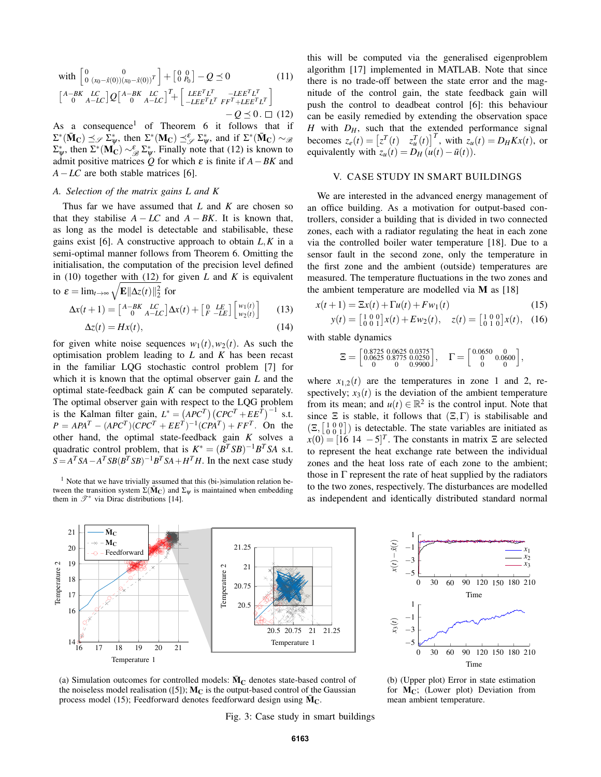with 
$$
\begin{bmatrix} 0 & 0 \\ 0 & (x_0 - \hat{x}(0))(x_0 - \hat{x}(0))^T \end{bmatrix} + \begin{bmatrix} 0 & 0 \\ 0 & P_0 \end{bmatrix} - Q \preceq 0
$$
 (11)  
\n $\begin{bmatrix} A-BK & LC \\ 0 & A-LC \end{bmatrix} Q \begin{bmatrix} A-BK & LC \\ 0 & A-LC \end{bmatrix}^T + \begin{bmatrix} LEE^T L^T & -LE^T L^T \\ -LE^T L^T F F^T + LEE^T L^T \end{bmatrix} - Q \preceq 0. \square$  (12)

As a consequence<sup>1</sup> of Theorem 6 it follows that if  $\Sigma^*(\bar{\mathbf{M}}_{\mathbf{C}}) \preceq_{\mathscr{S}} \Sigma^*_{\psi}$ , then  $\Sigma^*(\mathbf{M}_{\mathbf{C}}) \preceq_{\mathscr{S}}^{\varepsilon} \Sigma^*_{\psi}$ , and if  $\Sigma^*(\bar{\mathbf{M}}_{\mathbf{C}}) \sim_{\mathscr{B}}$  $\Sigma^*_{\psi}$ , then  $\Sigma^*(\mathbf{M}_{\mathbf{C}}) \sim_{\mathscr{B}}^{\varepsilon} \Sigma_{\psi}^*$ . Finally note that (12) is known to admit positive matrices  $\dot{Q}$  for which  $\varepsilon$  is finite if  $A - BK$  and *A*−*LC* are both stable matrices [6].

## *A. Selection of the matrix gains L and K*

Thus far we have assumed that *L* and *K* are chosen so that they stabilise  $A - LC$  and  $A - BK$ . It is known that, as long as the model is detectable and stabilisable, these gains exist [6]. A constructive approach to obtain *L*,*K* in a semi-optimal manner follows from Theorem 6. Omitting the initialisation, the computation of the precision level defined in (10) together with (12) for given *L* and *K* is equivalent to  $\varepsilon = \lim_{t \to \infty} \sqrt{\mathbf{E} \|\Delta z(t)\|_2^2}$  for

$$
\Delta x(t+1) = \begin{bmatrix} A-BK & LC \\ 0 & A-LC \end{bmatrix} \Delta x(t) + \begin{bmatrix} 0 & LE \\ F & -LE \end{bmatrix} \begin{bmatrix} w_1(t) \\ w_2(t) \end{bmatrix}
$$
 (13)

$$
\Delta z(t) = Hx(t),\tag{14}
$$

for given white noise sequences  $w_1(t)$ ,  $w_2(t)$ . As such the optimisation problem leading to *L* and *K* has been recast in the familiar LQG stochastic control problem [7] for which it is known that the optimal observer gain *L* and the optimal state-feedback gain *K* can be computed separately. The optimal observer gain with respect to the LQG problem is the Kalman filter gain,  $L^* = (APC^T)(CPC^T + EE^T)^{-1}$  s.t.  $P = APA^{T} - (APC^{T})(CPC^{T} + EE^{T})^{-1}(CPA^{T}) + FF^{T}$ . On the other hand, the optimal state-feedback gain *K* solves a quadratic control problem, that is  $K^* = (B^T S B)^{-1} B^T S A$  s.t.  $S = A^T S A - A^T S B (B^T S B)^{-1} B^T S A + H^T H$ . In the next case study

<sup>1</sup> Note that we have trivially assumed that this (bi-)simulation relation between the transition system  $\Sigma(\bar{M}_{C})$  and  $\Sigma_{\psi}$  is maintained when embedding them in  $\mathscr{T}^*$  via Dirac distributions [14].

this will be computed via the generalised eigenproblem algorithm [17] implemented in MATLAB. Note that since there is no trade-off between the state error and the magnitude of the control gain, the state feedback gain will push the control to deadbeat control [6]: this behaviour can be easily remedied by extending the observation space *H* with *DH*, such that the extended performance signal becomes  $z_e(t) = \begin{bmatrix} z^T(t) & z_u^T(t) \end{bmatrix}^T$ , with  $z_u(t) = D_H K x(t)$ , or equivalently with  $z_u(t) = D_H(u(t) - \bar{u}(t)).$ 

## V. CASE STUDY IN SMART BUILDINGS

We are interested in the advanced energy management of an office building. As a motivation for output-based controllers, consider a building that is divided in two connected zones, each with a radiator regulating the heat in each zone via the controlled boiler water temperature [18]. Due to a sensor fault in the second zone, only the temperature in the first zone and the ambient (outside) temperatures are measured. The temperature fluctuations in the two zones and the ambient temperature are modelled via  $M$  as [18]

$$
x(t+1) = \Xi x(t) + \Gamma u(t) + F w_1(t)
$$
\n(15)

$$
y(t) = \begin{bmatrix} 1 & 0 & 0 \\ 0 & 0 & 1 \end{bmatrix} x(t) + E w_2(t), \quad z(t) = \begin{bmatrix} 1 & 0 & 0 \\ 0 & 1 & 0 \end{bmatrix} x(t), \quad (16)
$$

with stable dynamics

$$
\Xi = \begin{bmatrix} 0.8725 & 0.0625 & 0.0375 \\ 0.0625 & 0.8775 & 0.0250 \\ 0 & 0 & 0.9900 \end{bmatrix}, \quad \Gamma = \begin{bmatrix} 0.0650 & 0 \\ 0 & 0.0600 \\ 0 & 0 \end{bmatrix},
$$

where  $x_{1,2}(t)$  are the temperatures in zone 1 and 2, respectively;  $x_3(t)$  is the deviation of the ambient temperature from its mean; and  $u(t) \in \mathbb{R}^2$  is the control input. Note that since  $\Xi$  is stable, it follows that  $(\Xi,\Gamma)$  is stabilisable and  $(\Xi, \begin{bmatrix} 1 & 0 & 0 \\ 0 & 0 & 1 \end{bmatrix})$  is detectable. The state variables are initiated as  $x(0) = [16 \ 14 \ -5]^T$ . The constants in matrix Ξ are selected to represent the heat exchange rate between the individual zones and the heat loss rate of each zone to the ambient; those in  $\Gamma$  represent the rate of heat supplied by the radiators to the two zones, respectively. The disturbances are modelled as independent and identically distributed standard normal





for  $M_C$ ; (Lower plot) Deviation from

(a) Simulation outcomes for controlled models:  $\bar{M}_{C}$  denotes state-based control of the noiseless model realisation ([5]);  $M_C$  is the output-based control of the Gaussian process model (15); Feedforward denotes feedforward design using  $\bar{M}_{\text{C}}$ .

Fig. 3: Case study in smart buildings